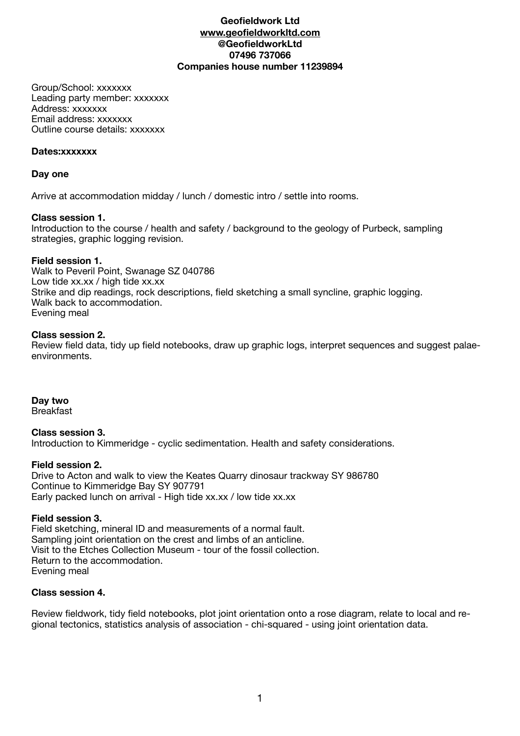# **Geofieldwork Ltd [www.geofieldworkltd.com](http://www.geofieldworkltd.com) @GeofieldworkLtd 07496 737066 Companies house number 11239894**

Group/School: xxxxxxx Leading party member: xxxxxxx Address: xxxxxxx Email address: xxxxxxx Outline course details: xxxxxxx

### **Dates:xxxxxxx**

# **Day one**

Arrive at accommodation midday / lunch / domestic intro / settle into rooms.

# **Class session 1.**

Introduction to the course / health and safety / background to the geology of Purbeck, sampling strategies, graphic logging revision.

# **Field session 1.**

Walk to Peveril Point, Swanage SZ 040786 Low tide xx.xx / high tide xx.xx Strike and dip readings, rock descriptions, field sketching a small syncline, graphic logging. Walk back to accommodation. Evening meal

# **Class session 2.**

Review field data, tidy up field notebooks, draw up graphic logs, interpret sequences and suggest palaeenvironments.

# **Day two**

**Breakfast** 

#### **Class session 3.**  Introduction to Kimmeridge - cyclic sedimentation. Health and safety considerations.

### **Field session 2.**

Drive to Acton and walk to view the Keates Quarry dinosaur trackway SY 986780 Continue to Kimmeridge Bay SY 907791 Early packed lunch on arrival - High tide xx.xx / low tide xx.xx

# **Field session 3.**

Field sketching, mineral ID and measurements of a normal fault. Sampling joint orientation on the crest and limbs of an anticline. Visit to the Etches Collection Museum - tour of the fossil collection. Return to the accommodation. Evening meal

# **Class session 4.**

Review fieldwork, tidy field notebooks, plot joint orientation onto a rose diagram, relate to local and regional tectonics, statistics analysis of association - chi-squared - using joint orientation data.